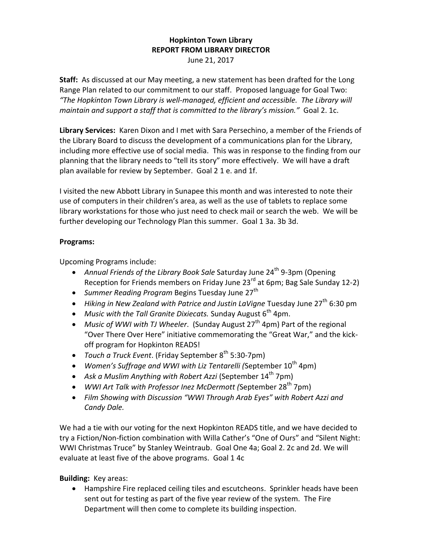## **Hopkinton Town Library REPORT FROM LIBRARY DIRECTOR** June 21, 2017

**Staff:** As discussed at our May meeting, a new statement has been drafted for the Long Range Plan related to our commitment to our staff. Proposed language for Goal Two: *"The Hopkinton Town Library is well-managed, efficient and accessible. The Library will maintain and support a staff that is committed to the library's mission."* Goal 2. 1c.

**Library Services:** Karen Dixon and I met with Sara Persechino, a member of the Friends of the Library Board to discuss the development of a communications plan for the Library, including more effective use of social media. This was in response to the finding from our planning that the library needs to "tell its story" more effectively. We will have a draft plan available for review by September. Goal 2 1 e. and 1f.

I visited the new Abbott Library in Sunapee this month and was interested to note their use of computers in their children's area, as well as the use of tablets to replace some library workstations for those who just need to check mail or search the web. We will be further developing our Technology Plan this summer. Goal 1 3a. 3b 3d.

## **Programs:**

Upcoming Programs include:

- Annual Friends of the Library Book Sale Saturday June 24<sup>th</sup> 9-3pm (Opening Reception for Friends members on Friday June 23<sup>rd</sup> at 6pm; Bag Sale Sunday 12-2)
- *Summer Reading Program* Begins Tuesday June 27<sup>th</sup>
- Hiking in New Zealand with Patrice and Justin LaVigne Tuesday June 27<sup>th</sup> 6:30 pm
- Music with the Tall Granite Dixiecats. Sunday August 6<sup>th</sup> 4pm.
- Music of *WWI with TJ Wheeler.* (Sunday August 27<sup>th</sup> 4pm) Part of the regional "Over There Over Here" initiative commemorating the "Great War," and the kickoff program for Hopkinton READS!
- **•** Touch a Truck Event. (Friday September 8<sup>th</sup> 5:30-7pm)
- Women's Suffrage and WWI with Liz Tentarelli (September 10<sup>th</sup> 4pm)
- Ask a Muslim Anything with Robert Azzi (September 14<sup>th</sup> 7pm)
- WWI Art Talk with Professor Inez McDermott (September 28<sup>th</sup> 7pm)
- *Film Showing with Discussion "WWI Through Arab Eyes" with Robert Azzi and Candy Dale.*

We had a tie with our voting for the next Hopkinton READS title, and we have decided to try a Fiction/Non-fiction combination with Willa Cather's "One of Ours" and "Silent Night: WWI Christmas Truce" by Stanley Weintraub. Goal One 4a; Goal 2. 2c and 2d. We will evaluate at least five of the above programs. Goal 1 4c

**Building:** Key areas:

 Hampshire Fire replaced ceiling tiles and escutcheons. Sprinkler heads have been sent out for testing as part of the five year review of the system. The Fire Department will then come to complete its building inspection.